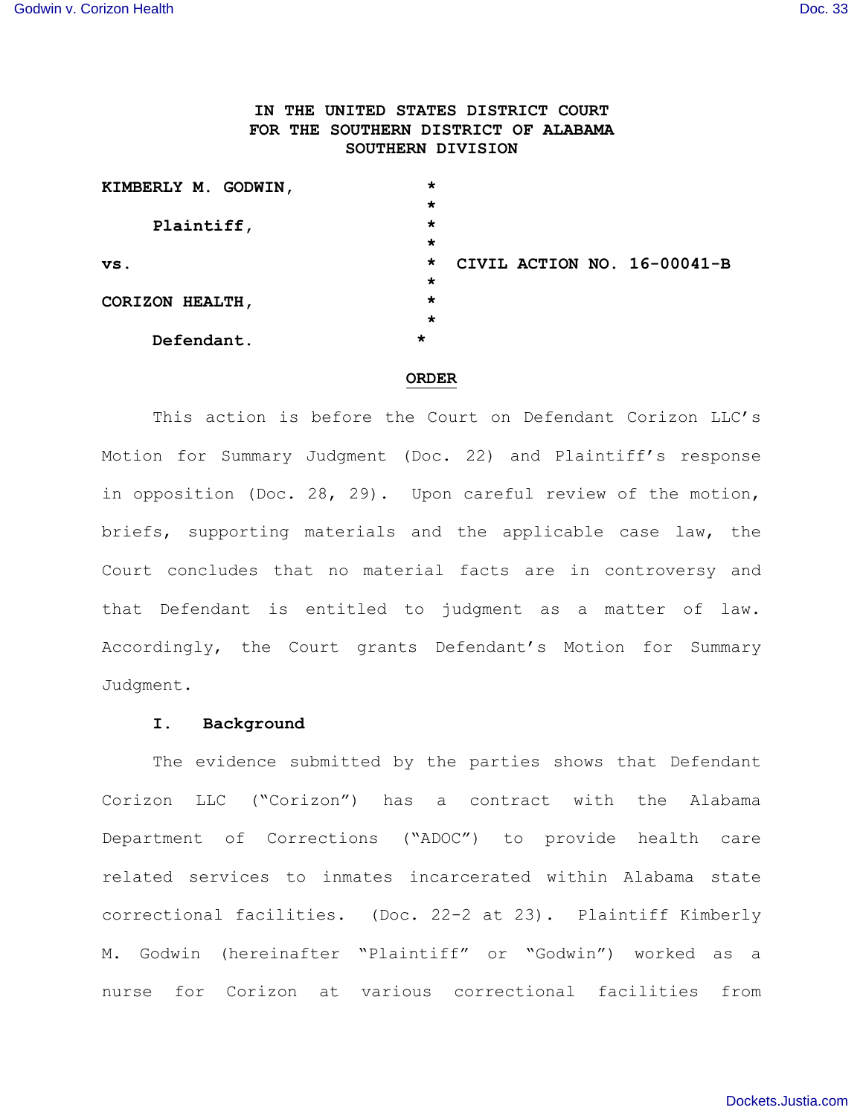# **IN THE UNITED STATES DISTRICT COURT FOR THE SOUTHERN DISTRICT OF ALABAMA SOUTHERN DIVISION**

| KIMBERLY M. GODWIN, | *       |                             |  |
|---------------------|---------|-----------------------------|--|
|                     | $\star$ |                             |  |
| Plaintiff,          | $\star$ |                             |  |
|                     | $\star$ |                             |  |
| VS.                 | $\star$ | CIVIL ACTION NO. 16-00041-B |  |
|                     | $\star$ |                             |  |
| CORIZON HEALTH,     | $\star$ |                             |  |
|                     | $\star$ |                             |  |
| Defendant.          | $\star$ |                             |  |

#### **ORDER**

This action is before the Court on Defendant Corizon LLC's Motion for Summary Judgment (Doc. 22) and Plaintiff's response in opposition (Doc. 28, 29). Upon careful review of the motion, briefs, supporting materials and the applicable case law, the Court concludes that no material facts are in controversy and that Defendant is entitled to judgment as a matter of law. Accordingly, the Court grants Defendant's Motion for Summary Judgment.

#### **I. Background**

The evidence submitted by the parties shows that Defendant Corizon LLC ("Corizon") has a contract with the Alabama Department of Corrections ("ADOC") to provide health care related services to inmates incarcerated within Alabama state correctional facilities. (Doc. 22-2 at 23). Plaintiff Kimberly M. Godwin (hereinafter "Plaintiff" or "Godwin") worked as a nurse for Corizon at various correctional facilities from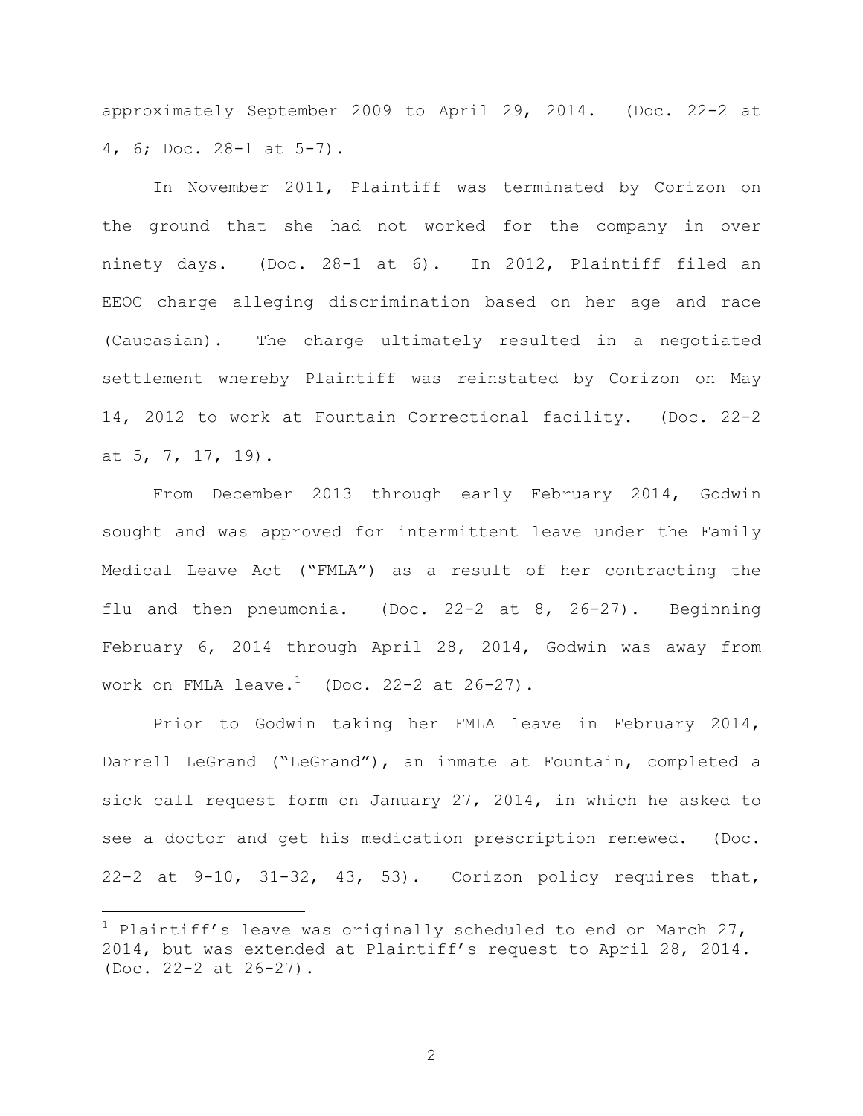approximately September 2009 to April 29, 2014. (Doc. 22-2 at 4, 6; Doc. 28-1 at 5-7).

In November 2011, Plaintiff was terminated by Corizon on the ground that she had not worked for the company in over ninety days. (Doc. 28-1 at 6). In 2012, Plaintiff filed an EEOC charge alleging discrimination based on her age and race (Caucasian). The charge ultimately resulted in a negotiated settlement whereby Plaintiff was reinstated by Corizon on May 14, 2012 to work at Fountain Correctional facility. (Doc. 22-2 at 5, 7, 17, 19).

From December 2013 through early February 2014, Godwin sought and was approved for intermittent leave under the Family Medical Leave Act ("FMLA") as a result of her contracting the flu and then pneumonia. (Doc. 22-2 at 8, 26-27). Beginning February 6, 2014 through April 28, 2014, Godwin was away from work on FMLA leave. $^1$  (Doc. 22-2 at 26-27).

Prior to Godwin taking her FMLA leave in February 2014, Darrell LeGrand ("LeGrand"), an inmate at Fountain, completed a sick call request form on January 27, 2014, in which he asked to see a doctor and get his medication prescription renewed. (Doc. 22-2 at 9-10, 31-32, 43, 53). Corizon policy requires that,

 $\overline{\phantom{0}}$ 

 $1$  Plaintiff's leave was originally scheduled to end on March 27, 2014, but was extended at Plaintiff's request to April 28, 2014. (Doc. 22-2 at 26-27).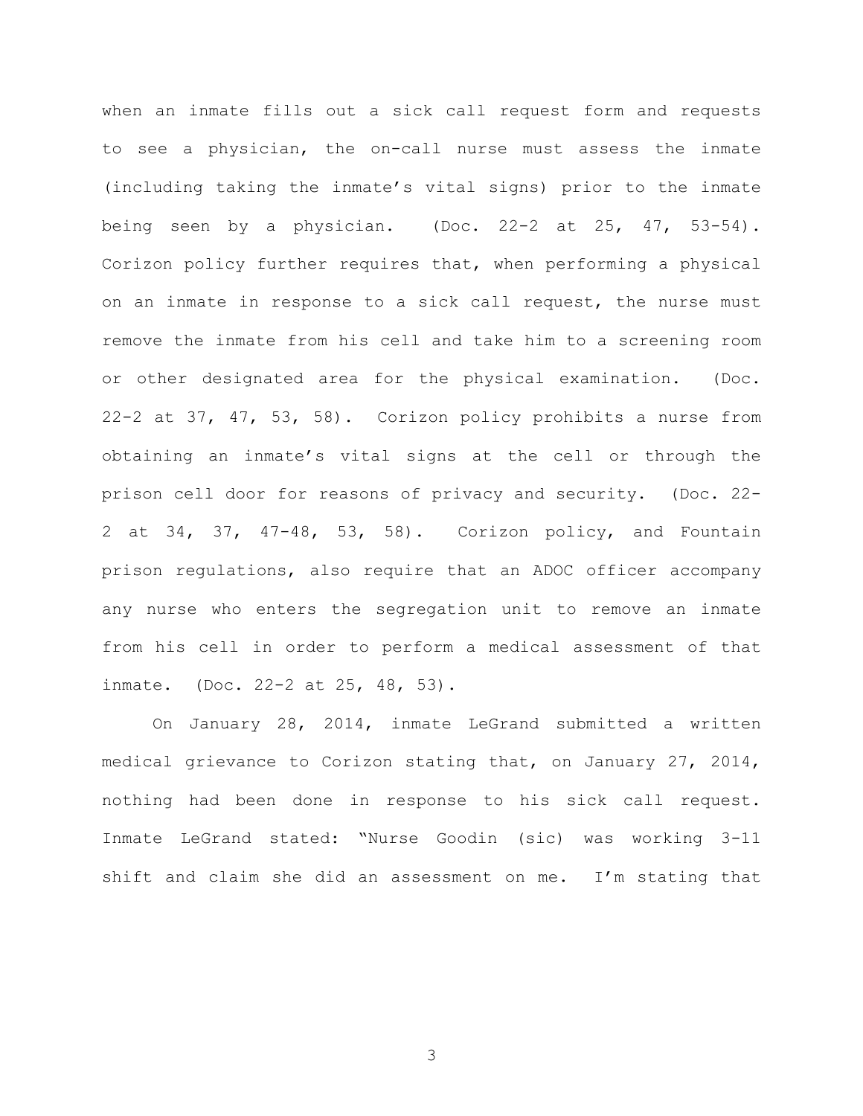when an inmate fills out a sick call request form and requests to see a physician, the on-call nurse must assess the inmate (including taking the inmate's vital signs) prior to the inmate being seen by a physician. (Doc.  $22-2$  at  $25$ ,  $47$ ,  $53-54$ ). Corizon policy further requires that, when performing a physical on an inmate in response to a sick call request, the nurse must remove the inmate from his cell and take him to a screening room or other designated area for the physical examination. (Doc. 22-2 at 37, 47, 53, 58). Corizon policy prohibits a nurse from obtaining an inmate's vital signs at the cell or through the prison cell door for reasons of privacy and security. (Doc. 22- 2 at 34, 37, 47-48, 53, 58). Corizon policy, and Fountain prison regulations, also require that an ADOC officer accompany any nurse who enters the segregation unit to remove an inmate from his cell in order to perform a medical assessment of that inmate. (Doc. 22-2 at 25, 48, 53).

On January 28, 2014, inmate LeGrand submitted a written medical grievance to Corizon stating that, on January 27, 2014, nothing had been done in response to his sick call request. Inmate LeGrand stated: "Nurse Goodin (sic) was working 3-11 shift and claim she did an assessment on me. I'm stating that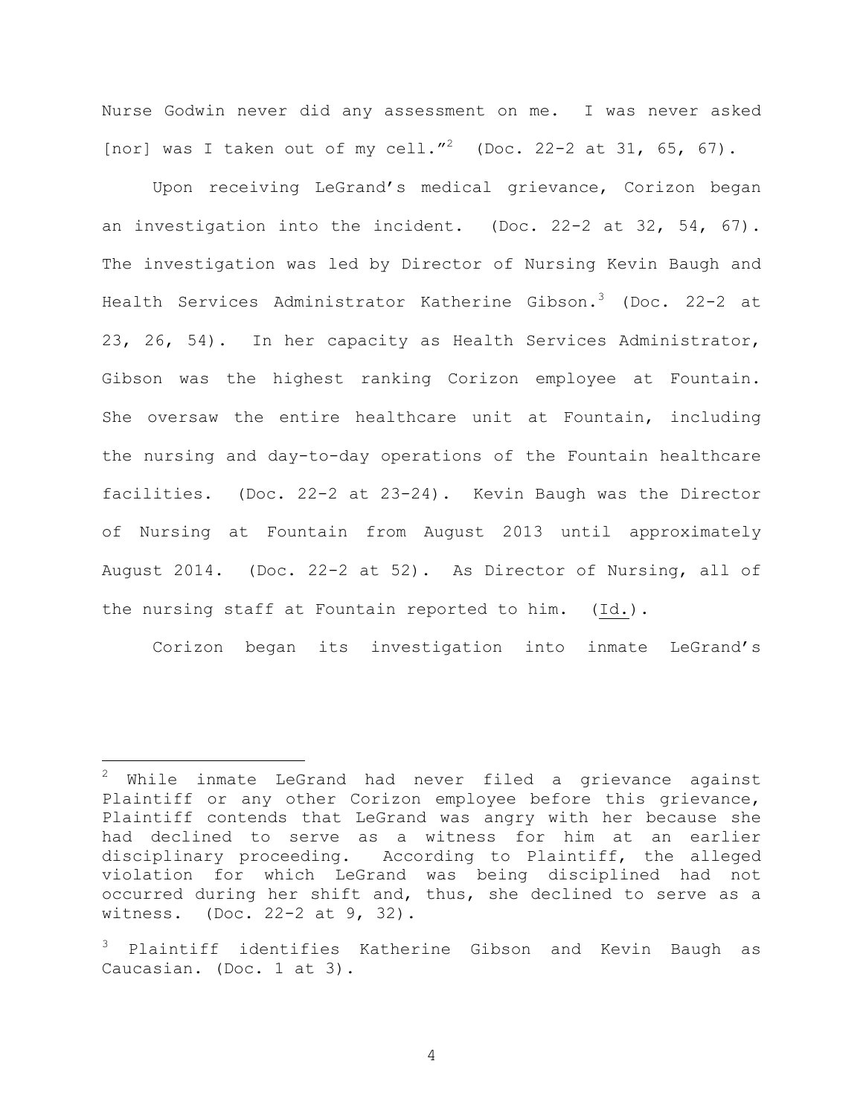Nurse Godwin never did any assessment on me. I was never asked [nor] was I taken out of my cell."<sup>2</sup> (Doc. 22-2 at 31, 65, 67).

Upon receiving LeGrand's medical grievance, Corizon began an investigation into the incident. (Doc. 22-2 at 32, 54, 67). The investigation was led by Director of Nursing Kevin Baugh and Health Services Administrator Katherine Gibson.<sup>3</sup> (Doc. 22-2 at 23, 26, 54). In her capacity as Health Services Administrator, Gibson was the highest ranking Corizon employee at Fountain. She oversaw the entire healthcare unit at Fountain, including the nursing and day-to-day operations of the Fountain healthcare facilities. (Doc. 22-2 at 23-24). Kevin Baugh was the Director of Nursing at Fountain from August 2013 until approximately August 2014. (Doc. 22-2 at 52). As Director of Nursing, all of the nursing staff at Fountain reported to him. (Id.).

Corizon began its investigation into inmate LeGrand's

 $\overline{\phantom{0}}$ 

 $^{2}$  While inmate LeGrand had never filed a grievance against Plaintiff or any other Corizon employee before this grievance, Plaintiff contends that LeGrand was angry with her because she had declined to serve as a witness for him at an earlier disciplinary proceeding. According to Plaintiff, the alleged violation for which LeGrand was being disciplined had not occurred during her shift and, thus, she declined to serve as a witness. (Doc. 22-2 at 9, 32).

<sup>3</sup> Plaintiff identifies Katherine Gibson and Kevin Baugh as Caucasian. (Doc. 1 at 3).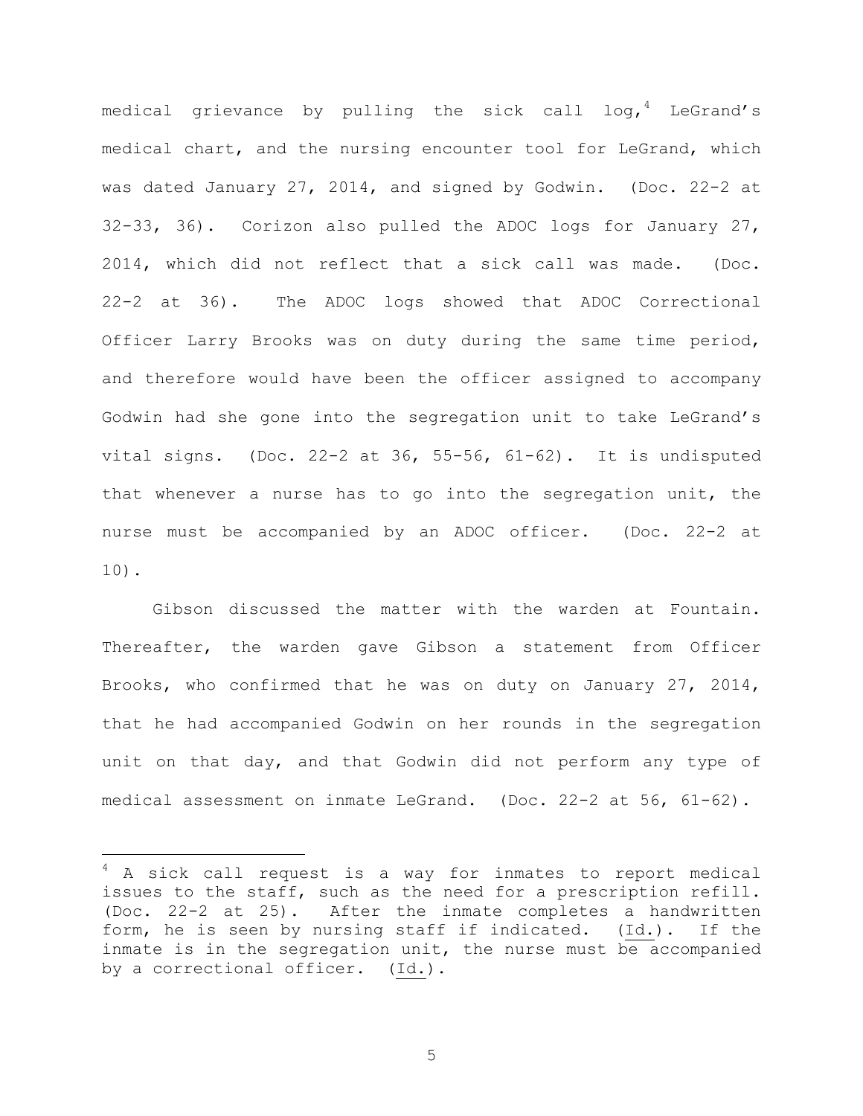medical grievance by pulling the sick call  $log_t$ <sup>4</sup> LeGrand's medical chart, and the nursing encounter tool for LeGrand, which was dated January 27, 2014, and signed by Godwin. (Doc. 22-2 at 32-33, 36). Corizon also pulled the ADOC logs for January 27, 2014, which did not reflect that a sick call was made. (Doc. 22-2 at 36). The ADOC logs showed that ADOC Correctional Officer Larry Brooks was on duty during the same time period, and therefore would have been the officer assigned to accompany Godwin had she gone into the segregation unit to take LeGrand's vital signs. (Doc.  $22-2$  at  $36$ ,  $55-56$ ,  $61-62$ ). It is undisputed that whenever a nurse has to go into the segregation unit, the nurse must be accompanied by an ADOC officer. (Doc. 22-2 at 10).

Gibson discussed the matter with the warden at Fountain. Thereafter, the warden gave Gibson a statement from Officer Brooks, who confirmed that he was on duty on January 27, 2014, that he had accompanied Godwin on her rounds in the segregation unit on that day, and that Godwin did not perform any type of medical assessment on inmate LeGrand. (Doc. 22-2 at 56, 61-62).

 $\overline{\phantom{0}}$ 

<sup>4</sup> A sick call request is a way for inmates to report medical issues to the staff, such as the need for a prescription refill. (Doc. 22-2 at 25). After the inmate completes a handwritten form, he is seen by nursing staff if indicated. (Id.). If the inmate is in the segregation unit, the nurse must be accompanied by a correctional officer. (Id.).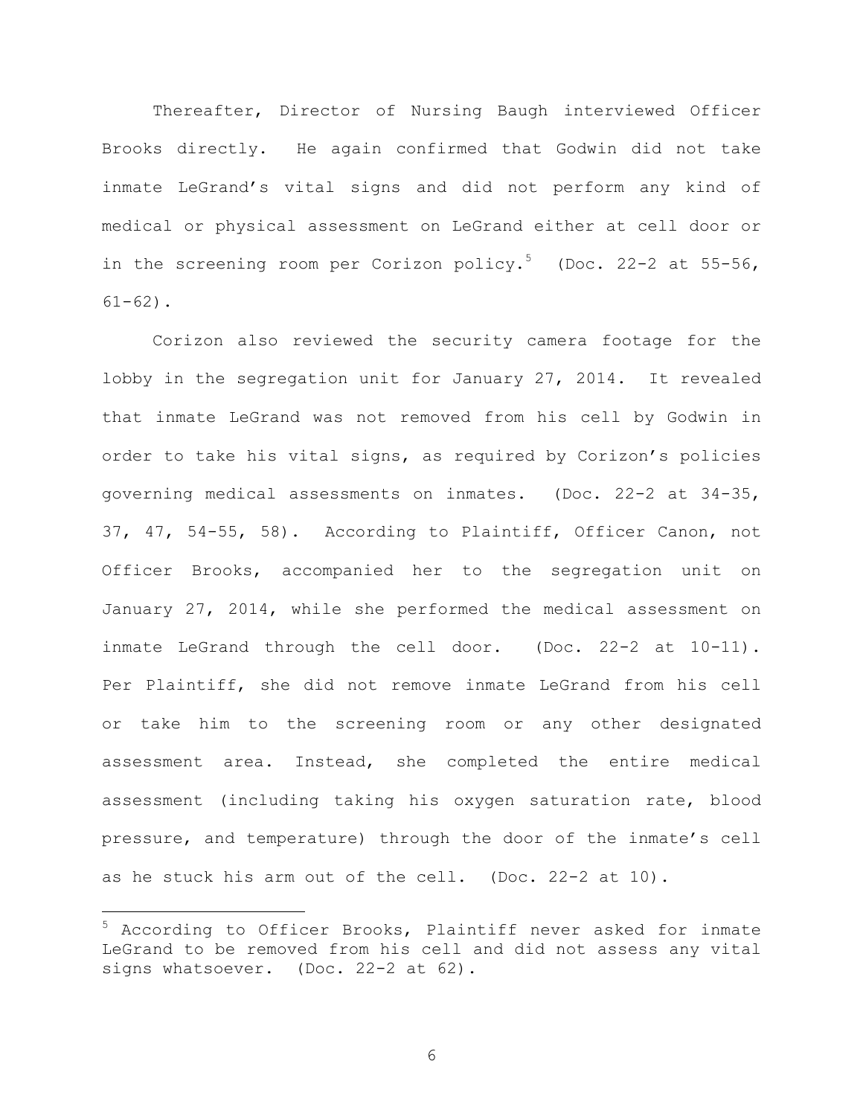Thereafter, Director of Nursing Baugh interviewed Officer Brooks directly. He again confirmed that Godwin did not take inmate LeGrand's vital signs and did not perform any kind of medical or physical assessment on LeGrand either at cell door or in the screening room per Corizon policy.<sup>5</sup> (Doc. 22-2 at 55-56,  $61-62$ ).

Corizon also reviewed the security camera footage for the lobby in the segregation unit for January 27, 2014. It revealed that inmate LeGrand was not removed from his cell by Godwin in order to take his vital signs, as required by Corizon's policies governing medical assessments on inmates. (Doc. 22-2 at 34-35, 37, 47, 54-55, 58). According to Plaintiff, Officer Canon, not Officer Brooks, accompanied her to the segregation unit on January 27, 2014, while she performed the medical assessment on inmate LeGrand through the cell door. (Doc. 22-2 at 10-11). Per Plaintiff, she did not remove inmate LeGrand from his cell or take him to the screening room or any other designated assessment area. Instead, she completed the entire medical assessment (including taking his oxygen saturation rate, blood pressure, and temperature) through the door of the inmate's cell as he stuck his arm out of the cell. (Doc. 22-2 at 10).

 $\overline{\phantom{0}}$ 

<sup>5</sup> According to Officer Brooks, Plaintiff never asked for inmate LeGrand to be removed from his cell and did not assess any vital signs whatsoever. (Doc. 22-2 at 62).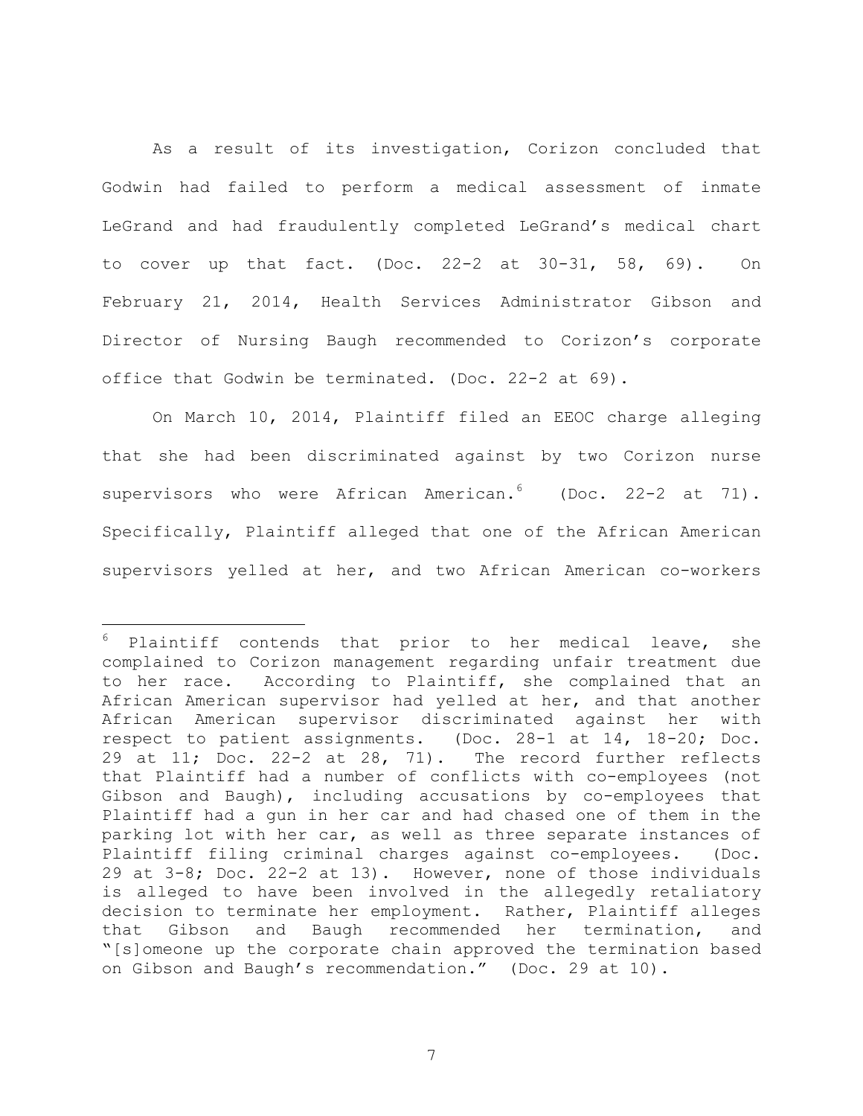As a result of its investigation, Corizon concluded that Godwin had failed to perform a medical assessment of inmate LeGrand and had fraudulently completed LeGrand's medical chart to cover up that fact. (Doc. 22-2 at 30-31, 58, 69). On February 21, 2014, Health Services Administrator Gibson and Director of Nursing Baugh recommended to Corizon's corporate office that Godwin be terminated. (Doc. 22-2 at 69).

On March 10, 2014, Plaintiff filed an EEOC charge alleging that she had been discriminated against by two Corizon nurse supervisors who were African American.<sup>6</sup> (Doc. 22-2 at 71). Specifically, Plaintiff alleged that one of the African American supervisors yelled at her, and two African American co-workers

 $\overline{\phantom{0}}$ 

Plaintiff contends that prior to her medical leave, she complained to Corizon management regarding unfair treatment due to her race. According to Plaintiff, she complained that an African American supervisor had yelled at her, and that another African American supervisor discriminated against her with respect to patient assignments. (Doc. 28-1 at 14, 18-20; Doc. 29 at 11; Doc. 22-2 at 28, 71). The record further reflects that Plaintiff had a number of conflicts with co-employees (not Gibson and Baugh), including accusations by co-employees that Plaintiff had a gun in her car and had chased one of them in the parking lot with her car, as well as three separate instances of Plaintiff filing criminal charges against co-employees. (Doc. 29 at 3-8; Doc. 22-2 at 13). However, none of those individuals is alleged to have been involved in the allegedly retaliatory decision to terminate her employment. Rather, Plaintiff alleges that Gibson and Baugh recommended her termination, and "[s]omeone up the corporate chain approved the termination based on Gibson and Baugh's recommendation." (Doc. 29 at 10).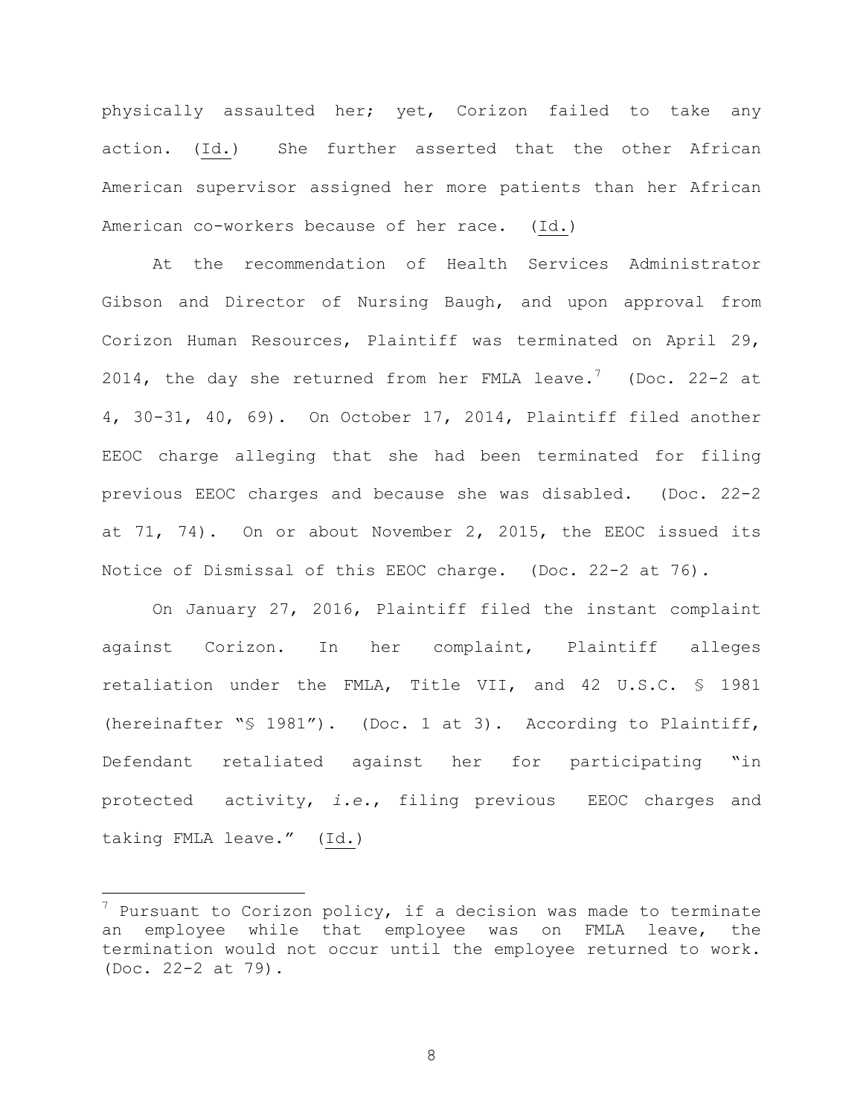physically assaulted her; yet, Corizon failed to take any action. (Id.) She further asserted that the other African American supervisor assigned her more patients than her African American co-workers because of her race. (Id.)

At the recommendation of Health Services Administrator Gibson and Director of Nursing Baugh, and upon approval from Corizon Human Resources, Plaintiff was terminated on April 29, 2014, the day she returned from her FMLA leave.<sup>7</sup> (Doc. 22-2 at 4, 30-31, 40, 69). On October 17, 2014, Plaintiff filed another EEOC charge alleging that she had been terminated for filing previous EEOC charges and because she was disabled. (Doc. 22-2 at 71, 74). On or about November 2, 2015, the EEOC issued its Notice of Dismissal of this EEOC charge. (Doc. 22-2 at 76).

On January 27, 2016, Plaintiff filed the instant complaint against Corizon. In her complaint, Plaintiff alleges retaliation under the FMLA, Title VII, and 42 U.S.C. § 1981 (hereinafter "§ 1981"). (Doc. 1 at 3). According to Plaintiff, Defendant retaliated against her for participating "in protected activity, *i.e.*, filing previous EEOC charges and taking FMLA leave." (Id.)

 $\overline{\phantom{0}}$ 

 $7$  Pursuant to Corizon policy, if a decision was made to terminate an employee while that employee was on FMLA leave, the termination would not occur until the employee returned to work. (Doc. 22-2 at 79).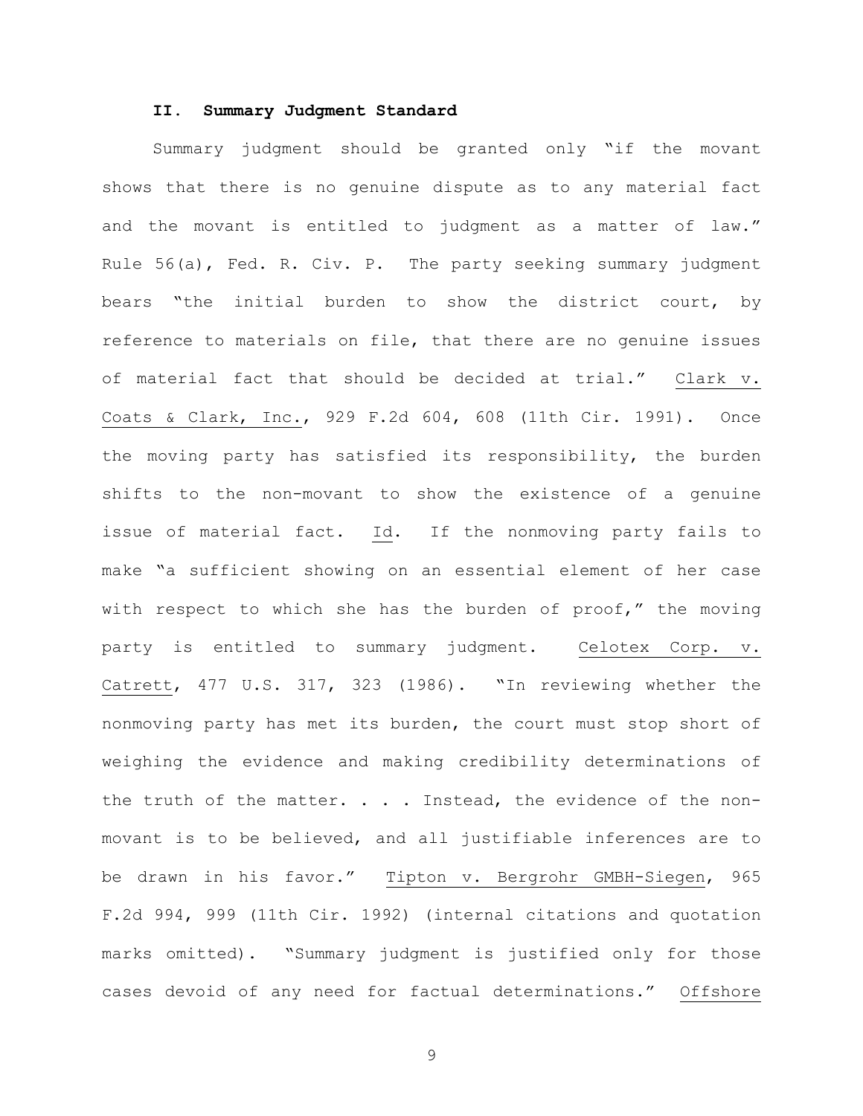## **II. Summary Judgment Standard**

Summary judgment should be granted only "if the movant shows that there is no genuine dispute as to any material fact and the movant is entitled to judgment as a matter of law." Rule 56(a), Fed. R. Civ. P. The party seeking summary judgment bears "the initial burden to show the district court, by reference to materials on file, that there are no genuine issues of material fact that should be decided at trial." Clark v. Coats & Clark, Inc., 929 F.2d 604, 608 (11th Cir. 1991). Once the moving party has satisfied its responsibility, the burden shifts to the non-movant to show the existence of a genuine issue of material fact. Id. If the nonmoving party fails to make "a sufficient showing on an essential element of her case with respect to which she has the burden of proof," the moving party is entitled to summary judgment. Celotex Corp. v. Catrett, 477 U.S. 317, 323 (1986). "In reviewing whether the nonmoving party has met its burden, the court must stop short of weighing the evidence and making credibility determinations of the truth of the matter.  $\ldots$  . Instead, the evidence of the nonmovant is to be believed, and all justifiable inferences are to be drawn in his favor." Tipton v. Bergrohr GMBH-Siegen, 965 F.2d 994, 999 (11th Cir. 1992) (internal citations and quotation marks omitted). "Summary judgment is justified only for those cases devoid of any need for factual determinations." Offshore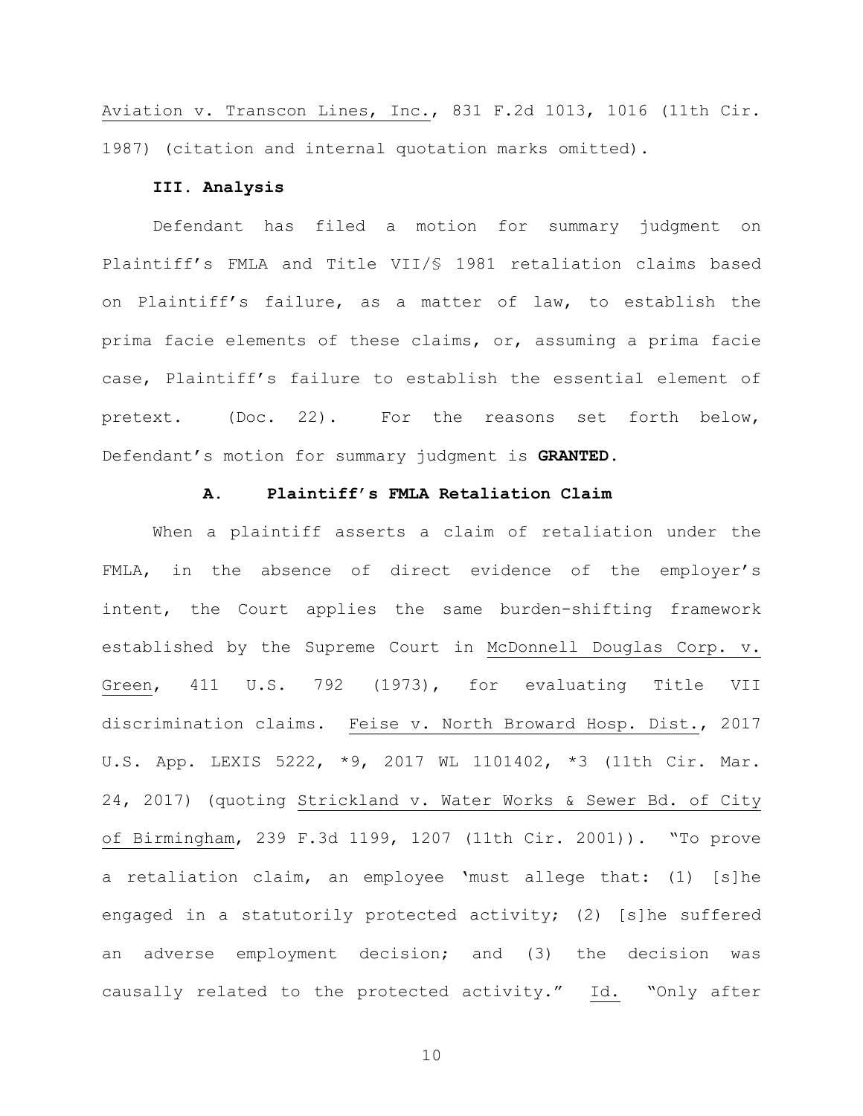Aviation v. Transcon Lines, Inc., 831 F.2d 1013, 1016 (11th Cir. 1987) (citation and internal quotation marks omitted).

# **III. Analysis**

Defendant has filed a motion for summary judgment on Plaintiff's FMLA and Title VII/§ 1981 retaliation claims based on Plaintiff's failure, as a matter of law, to establish the prima facie elements of these claims, or, assuming a prima facie case, Plaintiff's failure to establish the essential element of pretext. (Doc. 22). For the reasons set forth below, Defendant's motion for summary judgment is **GRANTED**.

# **A. Plaintiff's FMLA Retaliation Claim**

When a plaintiff asserts a claim of retaliation under the FMLA, in the absence of direct evidence of the employer's intent, the Court applies the same burden-shifting framework established by the Supreme Court in McDonnell Douglas Corp. v. Green, 411 U.S. 792 (1973), for evaluating Title VII discrimination claims. Feise v. North Broward Hosp. Dist., 2017 U.S. App. LEXIS 5222, \*9, 2017 WL 1101402, \*3 (11th Cir. Mar. 24, 2017) (quoting Strickland v. Water Works & Sewer Bd. of City of Birmingham, 239 F.3d 1199, 1207 (11th Cir. 2001)). "To prove a retaliation claim, an employee 'must allege that: (1) [s]he engaged in a statutorily protected activity; (2) [s]he suffered an adverse employment decision; and (3) the decision was causally related to the protected activity." Id. "Only after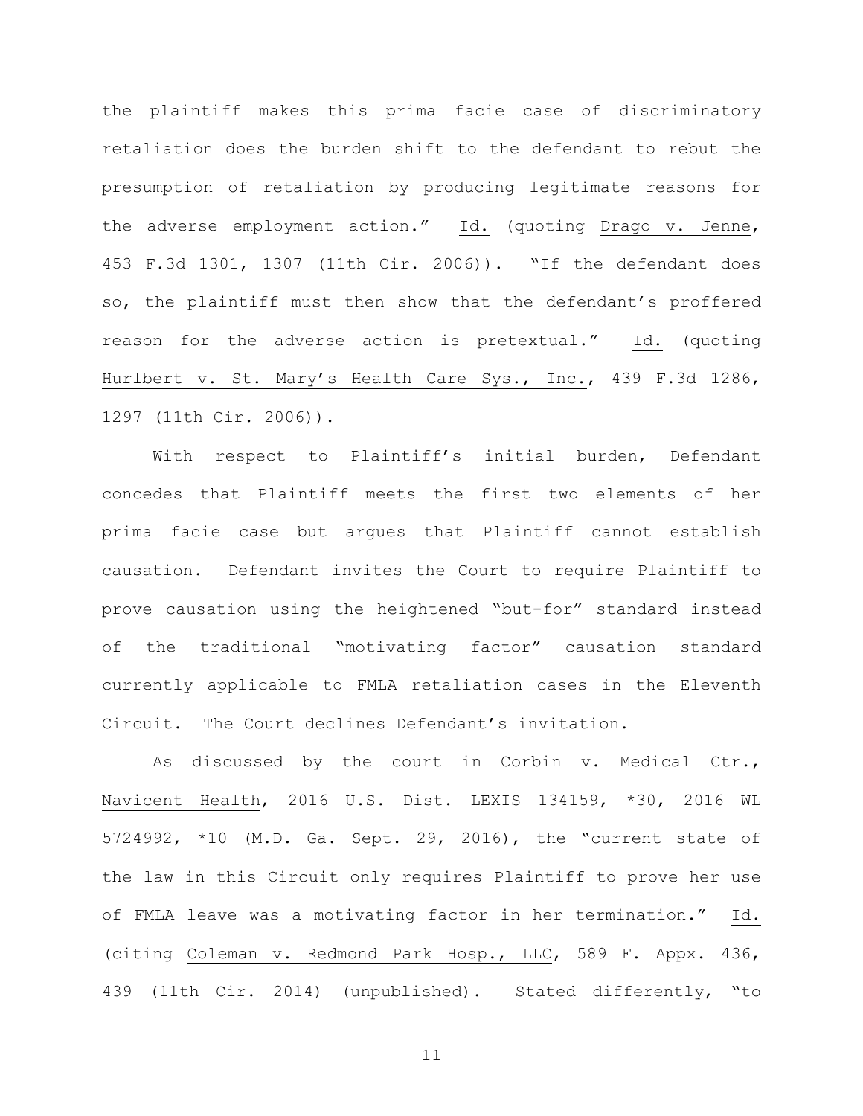the plaintiff makes this prima facie case of discriminatory retaliation does the burden shift to the defendant to rebut the presumption of retaliation by producing legitimate reasons for the adverse employment action." Id. (quoting Drago v. Jenne, 453 F.3d 1301, 1307 (11th Cir. 2006)). "If the defendant does so, the plaintiff must then show that the defendant's proffered reason for the adverse action is pretextual." Id. (quoting Hurlbert v. St. Mary's Health Care Sys., Inc., 439 F.3d 1286, 1297 (11th Cir. 2006)).

With respect to Plaintiff's initial burden, Defendant concedes that Plaintiff meets the first two elements of her prima facie case but argues that Plaintiff cannot establish causation. Defendant invites the Court to require Plaintiff to prove causation using the heightened "but-for" standard instead of the traditional "motivating factor" causation standard currently applicable to FMLA retaliation cases in the Eleventh Circuit. The Court declines Defendant's invitation.

As discussed by the court in Corbin v. Medical Ctr., Navicent Health, 2016 U.S. Dist. LEXIS 134159, \*30, 2016 WL 5724992, \*10 (M.D. Ga. Sept. 29, 2016), the "current state of the law in this Circuit only requires Plaintiff to prove her use of FMLA leave was a motivating factor in her termination." Id. (citing Coleman v. Redmond Park Hosp., LLC, 589 F. Appx. 436, 439 (11th Cir. 2014) (unpublished). Stated differently, "to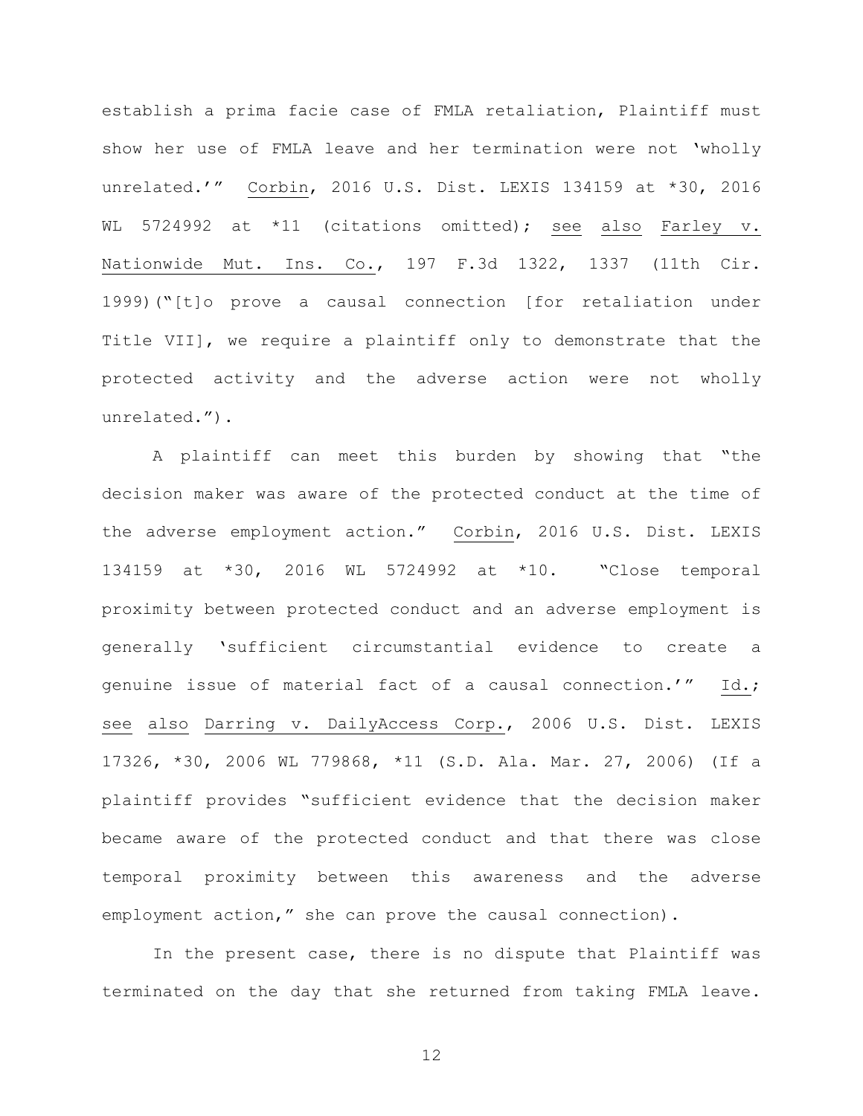establish a prima facie case of FMLA retaliation, Plaintiff must show her use of FMLA leave and her termination were not 'wholly unrelated.'" Corbin, 2016 U.S. Dist. LEXIS 134159 at \*30, 2016 WL 5724992 at \*11 (citations omitted); see also Farley v. Nationwide Mut. Ins. Co., 197 F.3d 1322, 1337 (11th Cir. 1999)("[t]o prove a causal connection [for retaliation under Title VII], we require a plaintiff only to demonstrate that the protected activity and the adverse action were not wholly unrelated.").

A plaintiff can meet this burden by showing that "the decision maker was aware of the protected conduct at the time of the adverse employment action." Corbin, 2016 U.S. Dist. LEXIS 134159 at \*30, 2016 WL 5724992 at \*10. "Close temporal proximity between protected conduct and an adverse employment is generally 'sufficient circumstantial evidence to create a genuine issue of material fact of a causal connection.'" Id.; see also Darring v. DailyAccess Corp., 2006 U.S. Dist. LEXIS 17326, \*30, 2006 WL 779868, \*11 (S.D. Ala. Mar. 27, 2006) (If a plaintiff provides "sufficient evidence that the decision maker became aware of the protected conduct and that there was close temporal proximity between this awareness and the adverse employment action," she can prove the causal connection).

In the present case, there is no dispute that Plaintiff was terminated on the day that she returned from taking FMLA leave.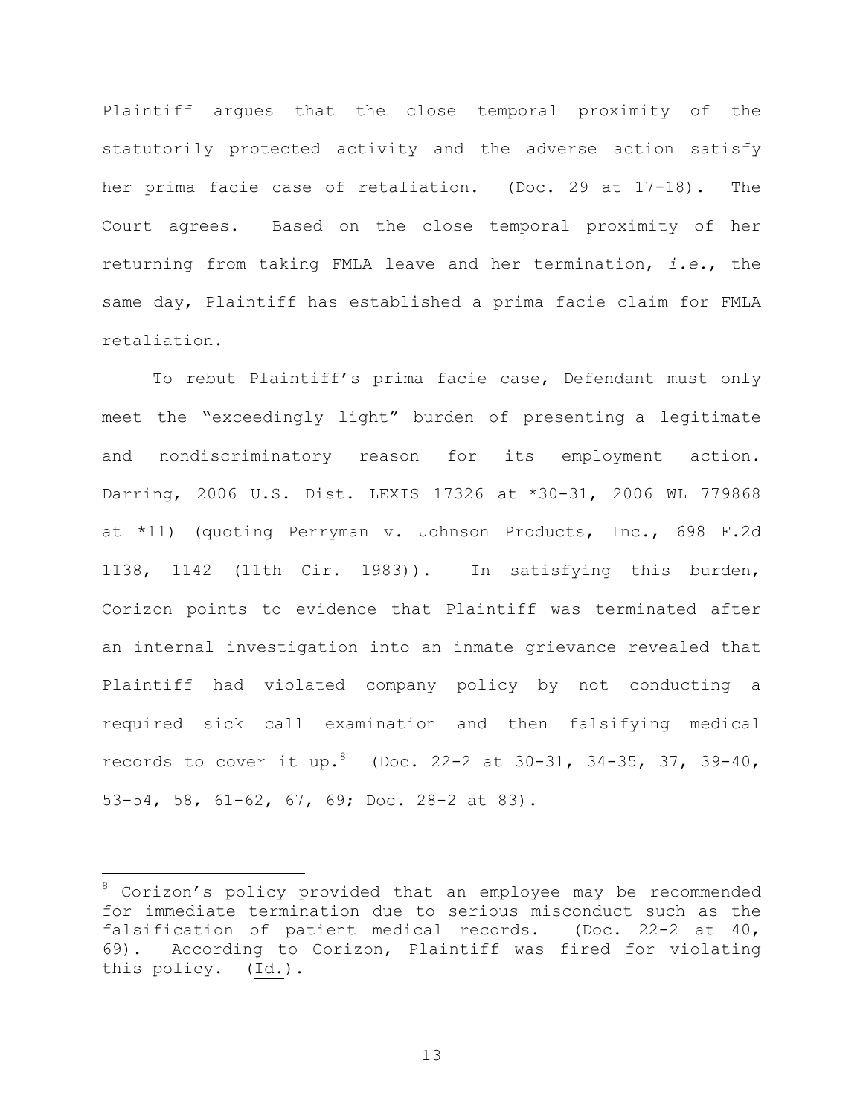Plaintiff argues that the close temporal proximity of the statutorily protected activity and the adverse action satisfy her prima facie case of retaliation. (Doc. 29 at 17-18). The Court agrees. Based on the close temporal proximity of her returning from taking FMLA leave and her termination, *i.e.*, the same day, Plaintiff has established a prima facie claim for FMLA retaliation.

To rebut Plaintiff's prima facie case, Defendant must only meet the "exceedingly light" burden of presenting a legitimate and nondiscriminatory reason for its employment action. Darring, 2006 U.S. Dist. LEXIS 17326 at \*30-31, 2006 WL 779868 at \*11) (quoting Perryman v. Johnson Products, Inc., 698 F.2d 1138, 1142 (11th Cir. 1983)). In satisfying this burden, Corizon points to evidence that Plaintiff was terminated after an internal investigation into an inmate grievance revealed that Plaintiff had violated company policy by not conducting a required sick call examination and then falsifying medical records to cover it up.<sup>8</sup> (Doc. 22-2 at 30-31, 34-35, 37, 39-40, 53-54, 58, 61-62, 67, 69; Doc. 28-2 at 83).

 $\overline{\phantom{0}}$ 

<sup>&</sup>lt;sup>8</sup> Corizon's policy provided that an employee may be recommended for immediate termination due to serious misconduct such as the falsification of patient medical records. (Doc. 22-2 at 40, 69). According to Corizon, Plaintiff was fired for violating this policy. (Id.).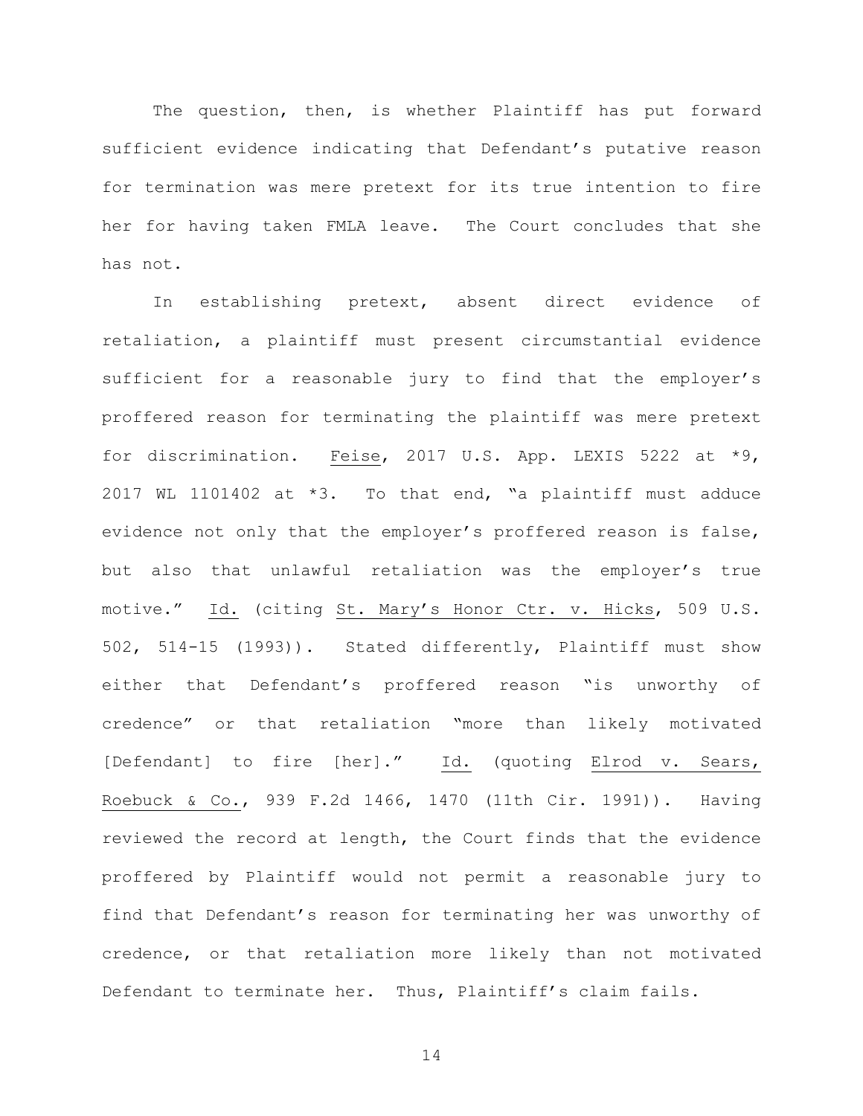The question, then, is whether Plaintiff has put forward sufficient evidence indicating that Defendant's putative reason for termination was mere pretext for its true intention to fire her for having taken FMLA leave. The Court concludes that she has not.

In establishing pretext, absent direct evidence of retaliation, a plaintiff must present circumstantial evidence sufficient for a reasonable jury to find that the employer's proffered reason for terminating the plaintiff was mere pretext for discrimination. Feise, 2017 U.S. App. LEXIS 5222 at \*9, 2017 WL 1101402 at \*3. To that end, "a plaintiff must adduce evidence not only that the employer's proffered reason is false, but also that unlawful retaliation was the employer's true motive." Id. (citing St. Mary's Honor Ctr. v. Hicks, 509 U.S. 502, 514-15 (1993)). Stated differently, Plaintiff must show either that Defendant's proffered reason "is unworthy of credence" or that retaliation "more than likely motivated [Defendant] to fire [her]." Id. (quoting Elrod v. Sears, Roebuck & Co., 939 F.2d 1466, 1470 (11th Cir. 1991)). Having reviewed the record at length, the Court finds that the evidence proffered by Plaintiff would not permit a reasonable jury to find that Defendant's reason for terminating her was unworthy of credence, or that retaliation more likely than not motivated Defendant to terminate her. Thus, Plaintiff's claim fails.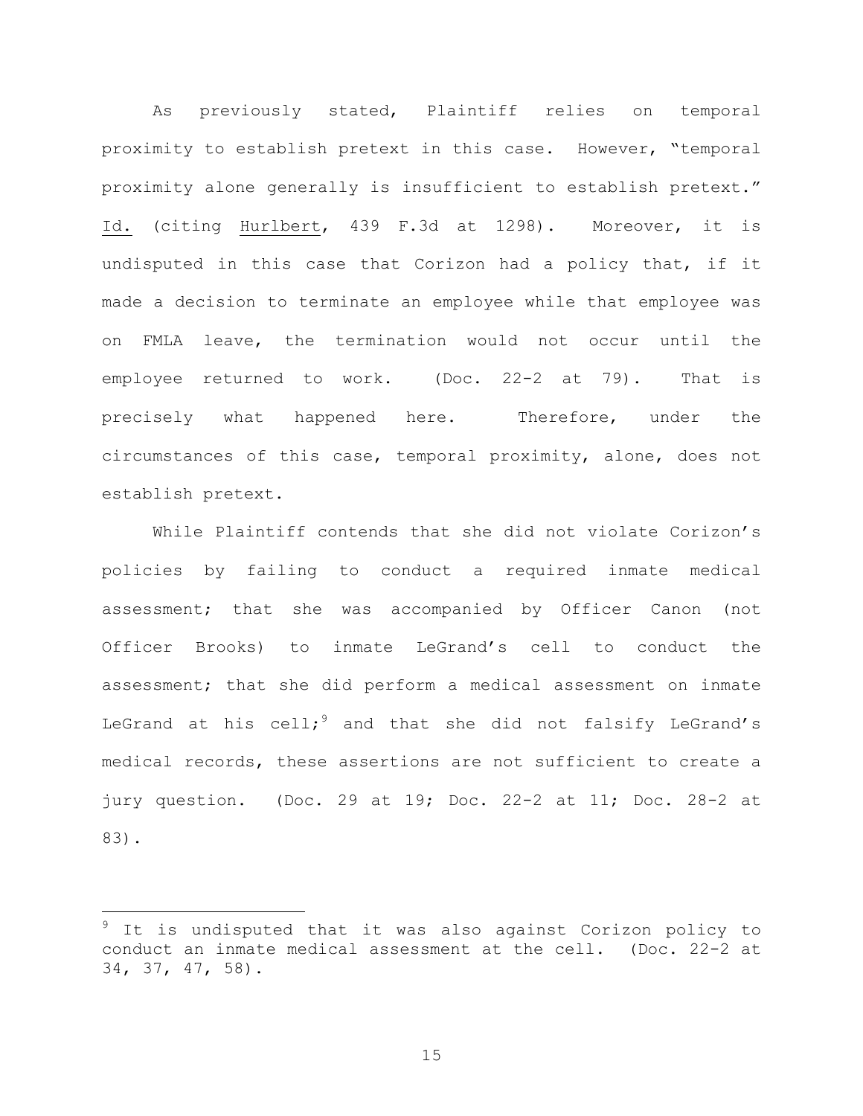As previously stated, Plaintiff relies on temporal proximity to establish pretext in this case. However, "temporal proximity alone generally is insufficient to establish pretext." Id. (citing Hurlbert, 439 F.3d at 1298). Moreover, it is undisputed in this case that Corizon had a policy that, if it made a decision to terminate an employee while that employee was on FMLA leave, the termination would not occur until the employee returned to work. (Doc. 22-2 at 79). That is precisely what happened here. Therefore, under the circumstances of this case, temporal proximity, alone, does not establish pretext.

While Plaintiff contends that she did not violate Corizon's policies by failing to conduct a required inmate medical assessment; that she was accompanied by Officer Canon (not Officer Brooks) to inmate LeGrand's cell to conduct the assessment; that she did perform a medical assessment on inmate LeGrand at his cell; and that she did not falsify LeGrand's medical records, these assertions are not sufficient to create a jury question. (Doc. 29 at 19; Doc. 22-2 at 11; Doc. 28-2 at 83).

 $\overline{\phantom{0}}$ 

It is undisputed that it was also against Corizon policy to conduct an inmate medical assessment at the cell. (Doc. 22-2 at 34, 37, 47, 58).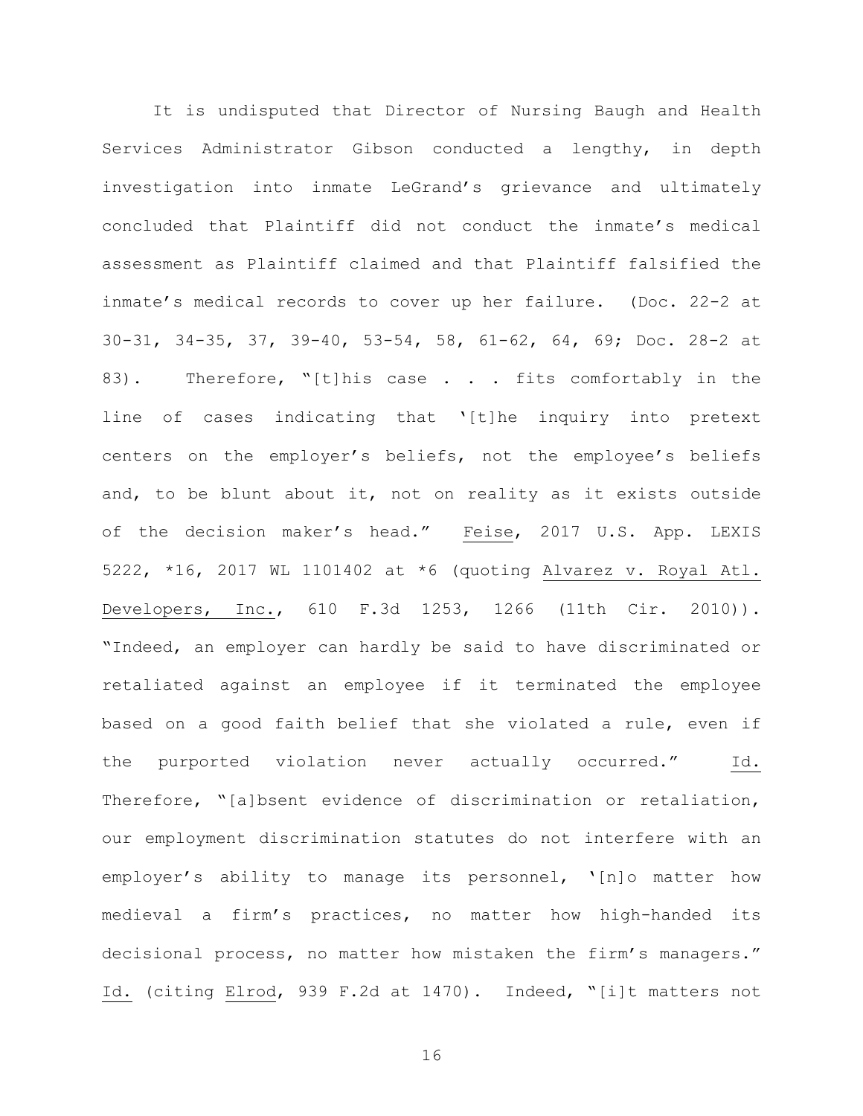It is undisputed that Director of Nursing Baugh and Health Services Administrator Gibson conducted a lengthy, in depth investigation into inmate LeGrand's grievance and ultimately concluded that Plaintiff did not conduct the inmate's medical assessment as Plaintiff claimed and that Plaintiff falsified the inmate's medical records to cover up her failure. (Doc. 22-2 at 30-31, 34-35, 37, 39-40, 53-54, 58, 61-62, 64, 69; Doc. 28-2 at 83). Therefore, "[t]his case . . . fits comfortably in the line of cases indicating that '[t]he inquiry into pretext centers on the employer's beliefs, not the employee's beliefs and, to be blunt about it, not on reality as it exists outside of the decision maker's head." Feise, 2017 U.S. App. LEXIS 5222, \*16, 2017 WL 1101402 at \*6 (quoting Alvarez v. Royal Atl. Developers, Inc., 610 F.3d 1253, 1266 (11th Cir. 2010)). "Indeed, an employer can hardly be said to have discriminated or retaliated against an employee if it terminated the employee based on a good faith belief that she violated a rule, even if the purported violation never actually occurred." Id. Therefore, "[a]bsent evidence of discrimination or retaliation, our employment discrimination statutes do not interfere with an employer's ability to manage its personnel, '[n]o matter how medieval a firm's practices, no matter how high-handed its decisional process, no matter how mistaken the firm's managers." Id. (citing Elrod, 939 F.2d at 1470). Indeed, "[i]t matters not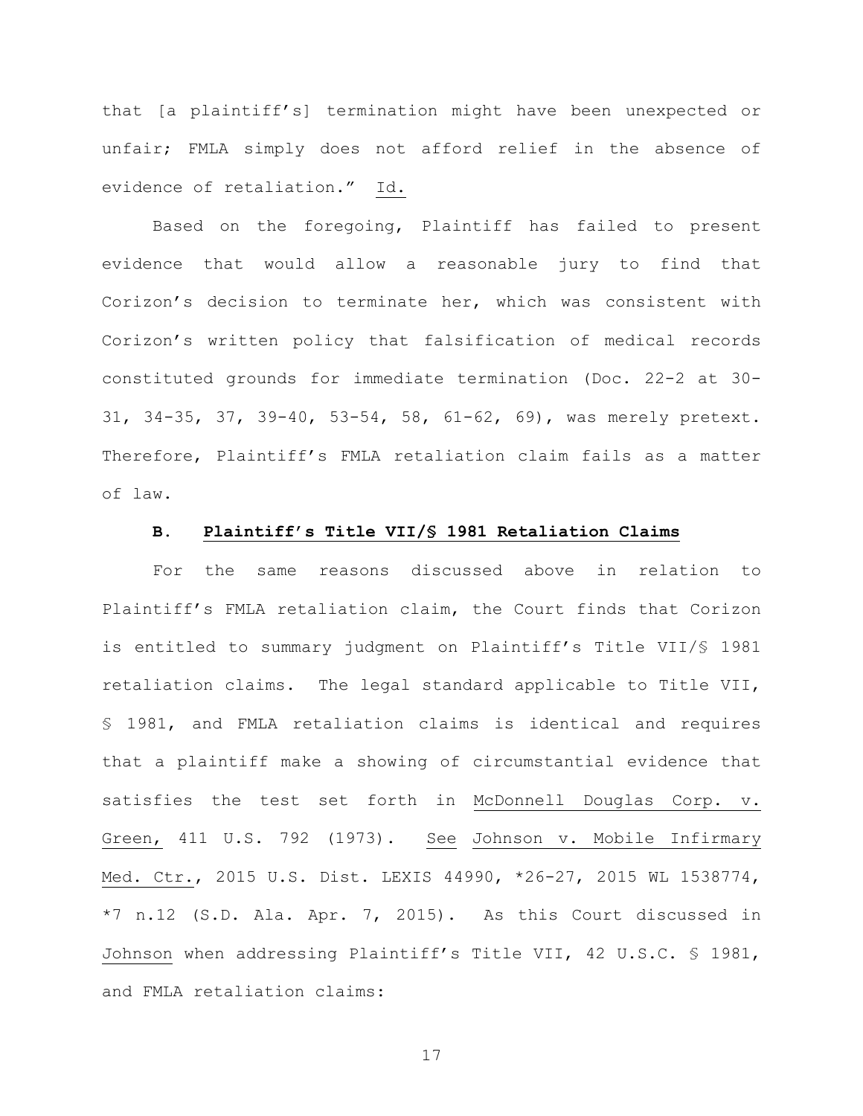that [a plaintiff's] termination might have been unexpected or unfair; FMLA simply does not afford relief in the absence of evidence of retaliation." Id.

Based on the foregoing, Plaintiff has failed to present evidence that would allow a reasonable jury to find that Corizon's decision to terminate her, which was consistent with Corizon's written policy that falsification of medical records constituted grounds for immediate termination (Doc. 22-2 at 30- 31, 34-35, 37, 39-40, 53-54, 58, 61-62, 69), was merely pretext. Therefore, Plaintiff's FMLA retaliation claim fails as a matter of law.

#### **B. Plaintiff's Title VII/§ 1981 Retaliation Claims**

For the same reasons discussed above in relation to Plaintiff's FMLA retaliation claim, the Court finds that Corizon is entitled to summary judgment on Plaintiff's Title VII/§ 1981 retaliation claims. The legal standard applicable to Title VII, § 1981, and FMLA retaliation claims is identical and requires that a plaintiff make a showing of circumstantial evidence that satisfies the test set forth in McDonnell Douglas Corp. v. Green, 411 U.S. 792 (1973). See Johnson v. Mobile Infirmary Med. Ctr., 2015 U.S. Dist. LEXIS 44990, \*26-27, 2015 WL 1538774, \*7 n.12 (S.D. Ala. Apr. 7, 2015). As this Court discussed in Johnson when addressing Plaintiff's Title VII, 42 U.S.C. § 1981, and FMLA retaliation claims: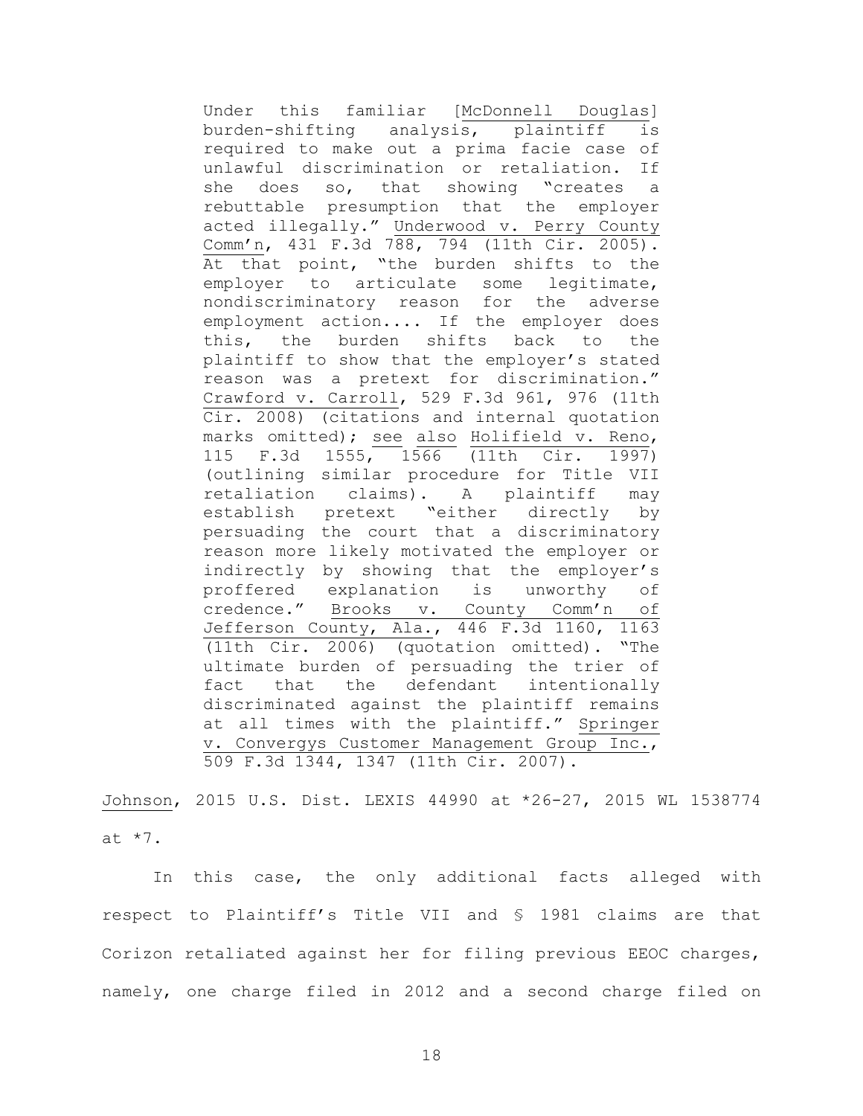Under this familiar [McDonnell Douglas] burden-shifting analysis, plaintiff is required to make out a prima facie case of unlawful discrimination or retaliation. If she does so, that showing "creates a rebuttable presumption that the employer acted illegally." Underwood v. Perry County Comm'n, 431 F.3d 788, 794 (11th Cir. 2005). At that point, "the burden shifts to the employer to articulate some legitimate, nondiscriminatory reason for the adverse employment action.... If the employer does this, the burden shifts back to the plaintiff to show that the employer's stated reason was a pretext for discrimination." Crawford v. Carroll, 529 F.3d 961, 976 (11th Cir. 2008) (citations and internal quotation marks omitted); see also Holifield v. Reno, 115 F.3d 1555, 1566 (11th Cir. 1997) (outlining similar procedure for Title VII retaliation claims). A plaintiff may establish pretext "either directly by persuading the court that a discriminatory reason more likely motivated the employer or indirectly by showing that the employer's proffered explanation is unworthy of credence." Brooks v. County Comm'n of Jefferson County, Ala., 446 F.3d 1160, 1163 (11th Cir. 2006) (quotation omitted). "The ultimate burden of persuading the trier of fact that the defendant intentionally discriminated against the plaintiff remains at all times with the plaintiff." Springer v. Convergys Customer Management Group Inc., 509 F.3d 1344, 1347 (11th Cir. 2007).

Johnson, 2015 U.S. Dist. LEXIS 44990 at \*26-27, 2015 WL 1538774 at \*7.

In this case, the only additional facts alleged with respect to Plaintiff's Title VII and § 1981 claims are that Corizon retaliated against her for filing previous EEOC charges, namely, one charge filed in 2012 and a second charge filed on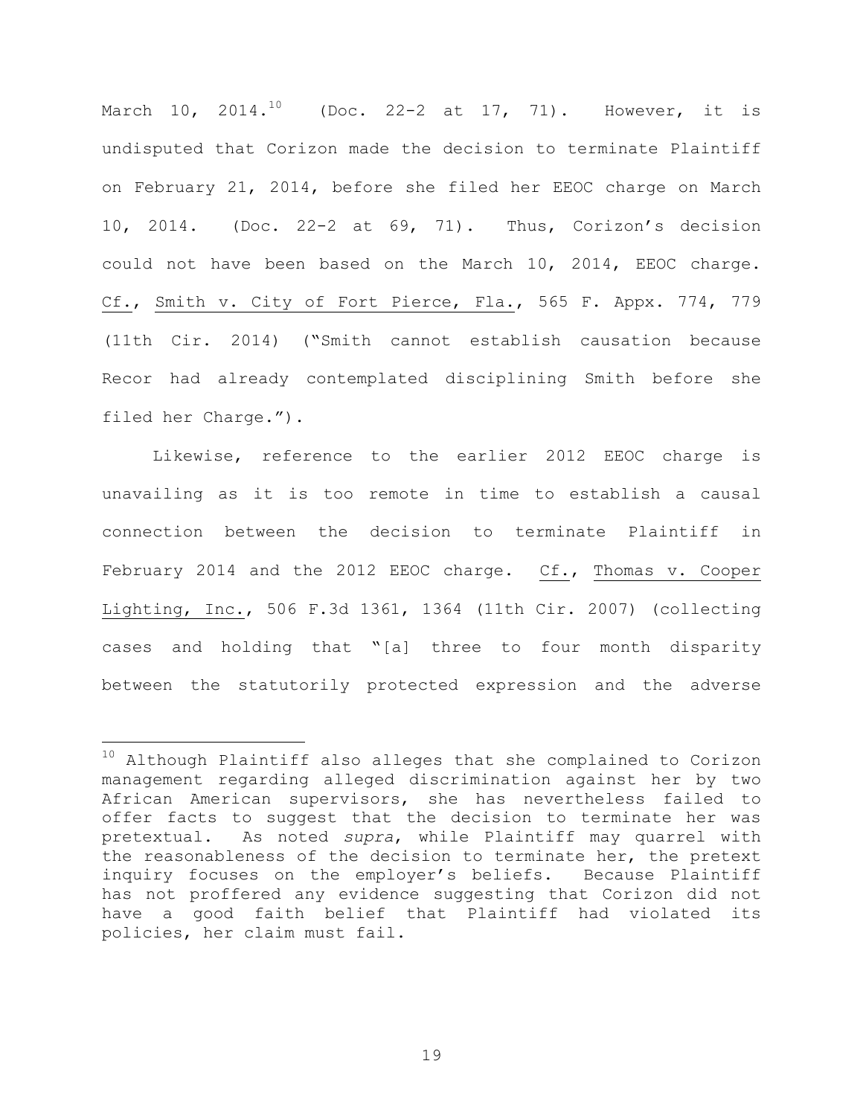March 10, 2014.<sup>10</sup> (Doc. 22-2 at 17, 71). However, it is undisputed that Corizon made the decision to terminate Plaintiff on February 21, 2014, before she filed her EEOC charge on March 10, 2014. (Doc. 22-2 at 69, 71). Thus, Corizon's decision could not have been based on the March 10, 2014, EEOC charge. Cf., Smith v. City of Fort Pierce, Fla., 565 F. Appx. 774, 779 (11th Cir. 2014) ("Smith cannot establish causation because Recor had already contemplated disciplining Smith before she filed her Charge.").

Likewise, reference to the earlier 2012 EEOC charge is unavailing as it is too remote in time to establish a causal connection between the decision to terminate Plaintiff in February 2014 and the 2012 EEOC charge. Cf., Thomas v. Cooper Lighting, Inc., 506 F.3d 1361, 1364 (11th Cir. 2007) (collecting cases and holding that "[a] three to four month disparity between the statutorily protected expression and the adverse

 $\overline{\phantom{0}}$ 

<sup>&</sup>lt;sup>10</sup> Although Plaintiff also alleges that she complained to Corizon management regarding alleged discrimination against her by two African American supervisors, she has nevertheless failed to offer facts to suggest that the decision to terminate her was pretextual. As noted *supra*, while Plaintiff may quarrel with the reasonableness of the decision to terminate her, the pretext inquiry focuses on the employer's beliefs. Because Plaintiff has not proffered any evidence suggesting that Corizon did not have a good faith belief that Plaintiff had violated its policies, her claim must fail.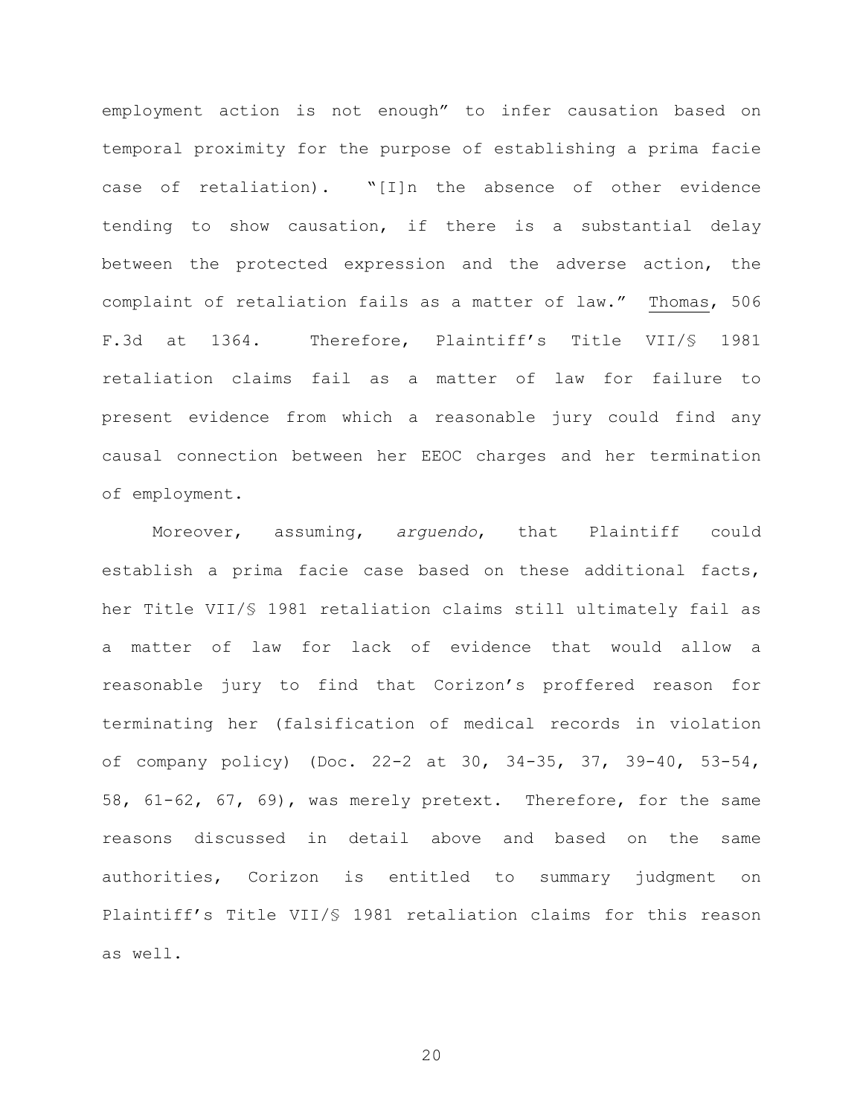employment action is not enough" to infer causation based on temporal proximity for the purpose of establishing a prima facie case of retaliation). "[I]n the absence of other evidence tending to show causation, if there is a substantial delay between the protected expression and the adverse action, the complaint of retaliation fails as a matter of law." Thomas, 506 F.3d at 1364. Therefore, Plaintiff's Title VII/§ 1981 retaliation claims fail as a matter of law for failure to present evidence from which a reasonable jury could find any causal connection between her EEOC charges and her termination of employment.

Moreover, assuming, *arguendo*, that Plaintiff could establish a prima facie case based on these additional facts, her Title VII/§ 1981 retaliation claims still ultimately fail as a matter of law for lack of evidence that would allow a reasonable jury to find that Corizon's proffered reason for terminating her (falsification of medical records in violation of company policy) (Doc. 22-2 at 30, 34-35, 37, 39-40, 53-54, 58, 61-62, 67, 69), was merely pretext. Therefore, for the same reasons discussed in detail above and based on the same authorities, Corizon is entitled to summary judgment on Plaintiff's Title VII/§ 1981 retaliation claims for this reason as well.